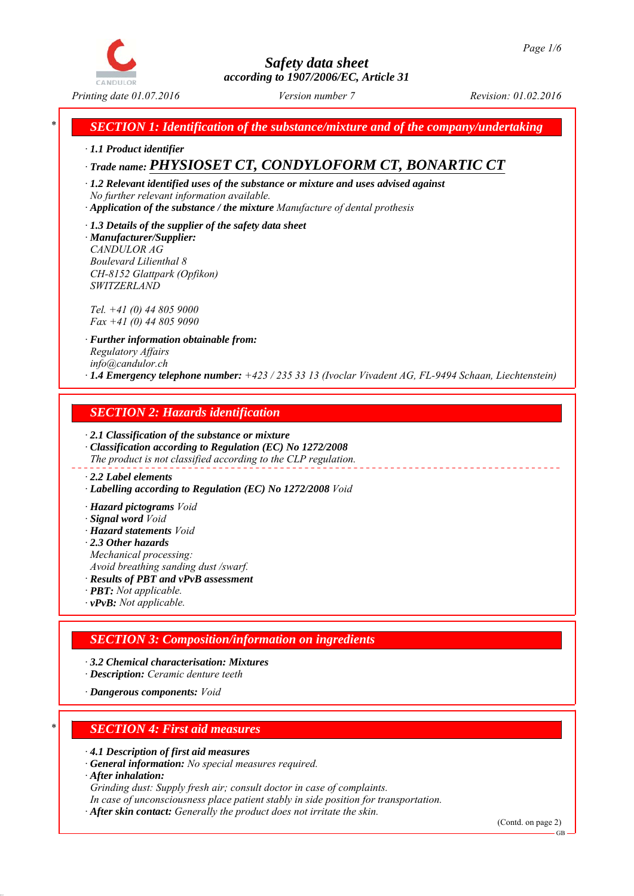

*\* SECTION 1: Identification of the substance/mixture and of the company/undertaking*

*∙ 1.1 Product identifier*

# *∙ Trade name: PHYSIOSET CT, CONDYLOFORM CT, BONARTIC CT*

*∙ 1.2 Relevant identified uses of the substance or mixture and uses advised against No further relevant information available.*

- *∙ Application of the substance / the mixture Manufacture of dental prothesis*
- *∙ 1.3 Details of the supplier of the safety data sheet ∙ Manufacturer/Supplier: CANDULOR AG Boulevard Lilienthal 8 CH-8152 Glattpark (Opfikon)*

*Tel. +41 (0) 44 805 9000 Fax +41 (0) 44 805 9090*

*SWITZERLAND*

*∙ Further information obtainable from: Regulatory Affairs info@candulor.ch ∙ 1.4 Emergency telephone number: +423 / 235 33 13 (Ivoclar Vivadent AG, FL-9494 Schaan, Liechtenstein)*

## *SECTION 2: Hazards identification*

*∙ 2.1 Classification of the substance or mixture ∙ Classification according to Regulation (EC) No 1272/2008 The product is not classified according to the CLP regulation.*

## *∙ 2.2 Label elements*

*∙ Labelling according to Regulation (EC) No 1272/2008 Void*

*∙ Hazard pictograms Void*

- *∙ Signal word Void*
- *∙ Hazard statements Void*
- *∙ 2.3 Other hazards*

*Mechanical processing:*

*Avoid breathing sanding dust /swarf.*

- *∙ Results of PBT and vPvB assessment*
- *∙ PBT: Not applicable. ∙ vPvB: Not applicable.*

## *SECTION 3: Composition/information on ingredients*

- *∙ 3.2 Chemical characterisation: Mixtures*
- *∙ Description: Ceramic denture teeth*

*∙ Dangerous components: Void*

## *\* SECTION 4: First aid measures*

*∙ 4.1 Description of first aid measures*

*∙ General information: No special measures required.*

*∙ After inhalation:*

*Grinding dust: Supply fresh air; consult doctor in case of complaints.*

*In case of unconsciousness place patient stably in side position for transportation.*

*∙ After skin contact: Generally the product does not irritate the skin.*

(Contd. on page 2)

GB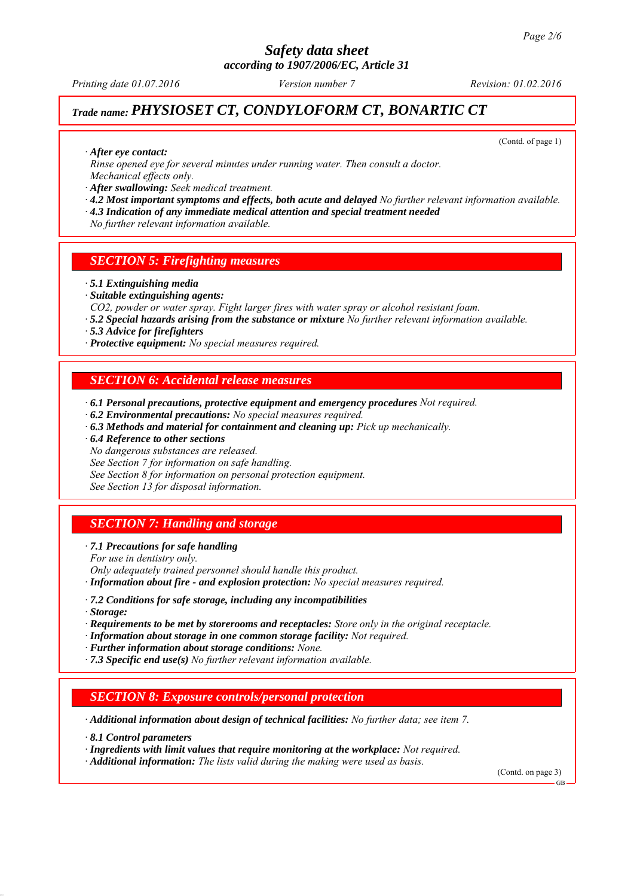*Printing date 01.07.2016 Revision: 01.02.2016 Version number 7*

## *Trade name: PHYSIOSET CT, CONDYLOFORM CT, BONARTIC CT*

(Contd. of page 1)

*∙ After eye contact:*

*Rinse opened eye for several minutes under running water. Then consult a doctor. Mechanical effects only.*

*∙ After swallowing: Seek medical treatment.*

*∙ 4.2 Most important symptoms and effects, both acute and delayed No further relevant information available.*

*∙ 4.3 Indication of any immediate medical attention and special treatment needed*

*No further relevant information available.*

## *SECTION 5: Firefighting measures*

#### *∙ 5.1 Extinguishing media*

*∙ Suitable extinguishing agents:*

*CO2, powder or water spray. Fight larger fires with water spray or alcohol resistant foam.*

*∙ 5.2 Special hazards arising from the substance or mixture No further relevant information available.*

*∙ 5.3 Advice for firefighters*

*∙ Protective equipment: No special measures required.*

#### *SECTION 6: Accidental release measures*

*∙ 6.1 Personal precautions, protective equipment and emergency procedures Not required.*

*∙ 6.2 Environmental precautions: No special measures required.*

*∙ 6.3 Methods and material for containment and cleaning up: Pick up mechanically.*

*∙ 6.4 Reference to other sections*

*No dangerous substances are released.*

*See Section 7 for information on safe handling.*

*See Section 8 for information on personal protection equipment.*

*See Section 13 for disposal information.*

## *SECTION 7: Handling and storage*

*∙ 7.1 Precautions for safe handling*

*For use in dentistry only.*

*Only adequately trained personnel should handle this product.*

*∙ Information about fire - and explosion protection: No special measures required.*

- *∙ 7.2 Conditions for safe storage, including any incompatibilities*
- *∙ Storage:*

*∙ Requirements to be met by storerooms and receptacles: Store only in the original receptacle.*

*∙ Information about storage in one common storage facility: Not required.*

*∙ Further information about storage conditions: None.*

*∙ 7.3 Specific end use(s) No further relevant information available.*

## *SECTION 8: Exposure controls/personal protection*

*∙ Additional information about design of technical facilities: No further data; see item 7.*

*∙ 8.1 Control parameters*

*∙ Ingredients with limit values that require monitoring at the workplace: Not required.*

*∙ Additional information: The lists valid during the making were used as basis.*

(Contd. on page 3)

GB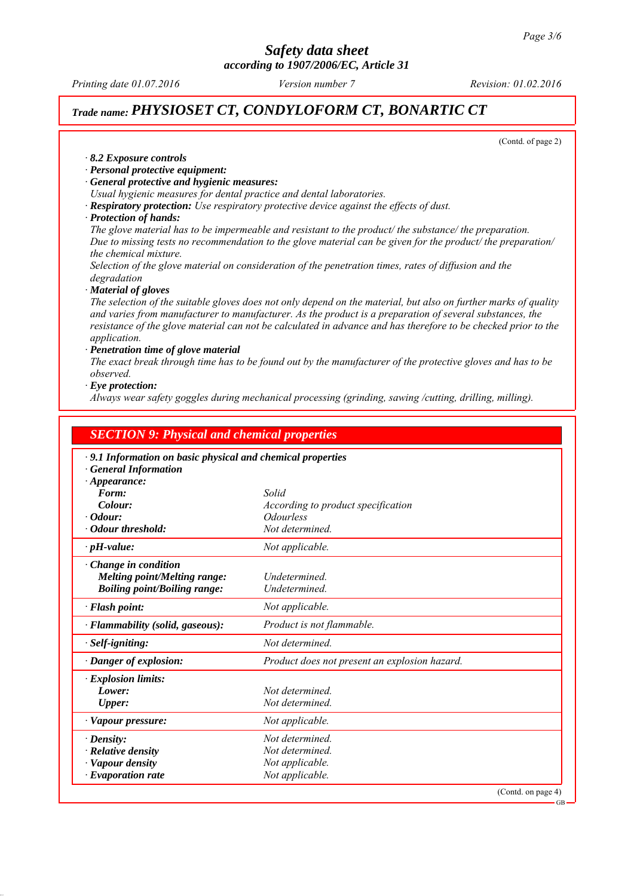*Printing date 01.07.2016 Revision: 01.02.2016 Version number 7*

## *Trade name: PHYSIOSET CT, CONDYLOFORM CT, BONARTIC CT*

(Contd. of page 2)

*∙ 8.2 Exposure controls*

- *∙ Personal protective equipment:*
- *∙ General protective and hygienic measures:*
- *Usual hygienic measures for dental practice and dental laboratories.*
- *∙ Respiratory protection: Use respiratory protective device against the effects of dust.*
- *∙ Protection of hands:*

*The glove material has to be impermeable and resistant to the product/ the substance/ the preparation. Due to missing tests no recommendation to the glove material can be given for the product/ the preparation/ the chemical mixture.*

*Selection of the glove material on consideration of the penetration times, rates of diffusion and the degradation*

*∙ Material of gloves*

*The selection of the suitable gloves does not only depend on the material, but also on further marks of quality and varies from manufacturer to manufacturer. As the product is a preparation of several substances, the resistance of the glove material can not be calculated in advance and has therefore to be checked prior to the application.*

#### *∙ Penetration time of glove material*

*The exact break through time has to be found out by the manufacturer of the protective gloves and has to be observed.*

*∙ Eye protection:*

*Always wear safety goggles during mechanical processing (grinding, sawing /cutting, drilling, milling).*

| <b>SECTION 9: Physical and chemical properties</b>                                           |                                               |                    |
|----------------------------------------------------------------------------------------------|-----------------------------------------------|--------------------|
| · 9.1 Information on basic physical and chemical properties<br><b>General Information</b>    |                                               |                    |
| $\cdot$ Appearance:<br>Form:                                                                 | Solid                                         |                    |
| Colour:                                                                                      | According to product specification            |                    |
| $\cdot$ Odour:                                                                               | <b>Odourless</b>                              |                    |
| · Odour threshold:                                                                           | Not determined.                               |                    |
| $\cdot$ pH-value:                                                                            | Not applicable.                               |                    |
| · Change in condition<br>Melting point/Melting range:<br><b>Boiling point/Boiling range:</b> | Undetermined.<br>Undetermined.                |                    |
| $\cdot$ Flash point:                                                                         | Not applicable.                               |                    |
| · Flammability (solid, gaseous):                                                             | Product is not flammable.                     |                    |
| · Self-igniting:                                                                             | Not determined.                               |                    |
| · Danger of explosion:                                                                       | Product does not present an explosion hazard. |                    |
| $\cdot$ Explosion limits:                                                                    |                                               |                    |
| Lower:                                                                                       | Not determined.                               |                    |
| <b>Upper:</b>                                                                                | Not determined.                               |                    |
| · Vapour pressure:                                                                           | Not applicable.                               |                    |
| $\cdot$ Density:                                                                             | Not determined.                               |                    |
| · Relative density                                                                           | Not determined.                               |                    |
| · Vapour density                                                                             | Not applicable.                               |                    |
| $\cdot$ Evaporation rate                                                                     | Not applicable.                               |                    |
|                                                                                              |                                               | (Contd. on page 4) |
|                                                                                              |                                               | $GB -$             |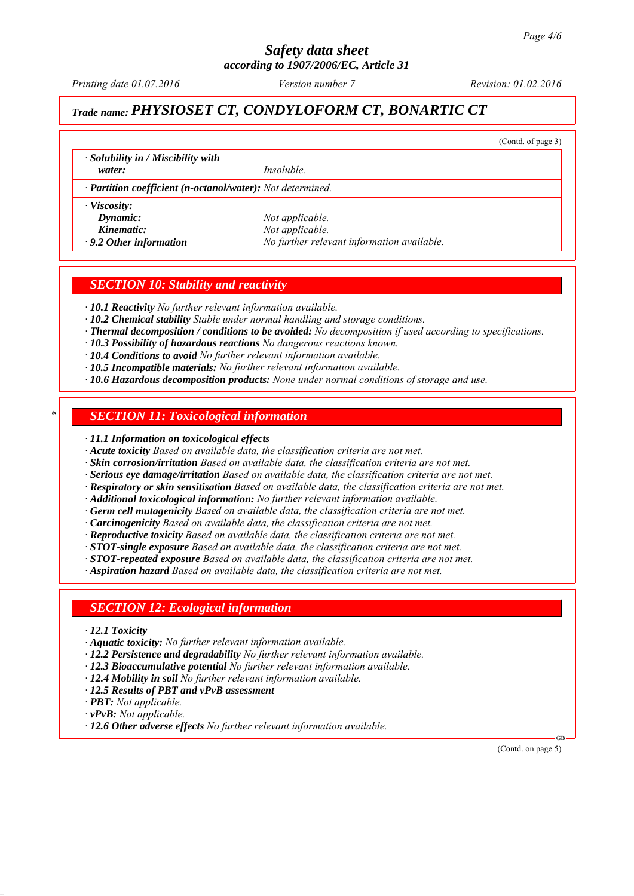*Printing date 01.07.2016 Revision: 01.02.2016 Version number 7*

(Contd. of page 3)

## *Trade name: PHYSIOSET CT, CONDYLOFORM CT, BONARTIC CT*

*∙ Solubility in / Miscibility with*

*water: Insoluble.*

*∙ Partition coefficient (n-octanol/water): Not determined.*

*∙ Viscosity:*

*Dynamic: Not applicable. Kinematic: Not applicable.*

*∙ 9.2 Other information No further relevant information available.*

## *SECTION 10: Stability and reactivity*

*∙ 10.1 Reactivity No further relevant information available.*

- *∙ 10.2 Chemical stability Stable under normal handling and storage conditions.*
- *∙ Thermal decomposition / conditions to be avoided: No decomposition if used according to specifications.*
- *∙ 10.3 Possibility of hazardous reactions No dangerous reactions known.*
- *∙ 10.4 Conditions to avoid No further relevant information available.*
- *∙ 10.5 Incompatible materials: No further relevant information available.*
- *∙ 10.6 Hazardous decomposition products: None under normal conditions of storage and use.*

## *\* SECTION 11: Toxicological information*

*∙ 11.1 Information on toxicological effects*

*∙ Acute toxicity Based on available data, the classification criteria are not met.*

- *∙ Skin corrosion/irritation Based on available data, the classification criteria are not met.*
- *∙ Serious eye damage/irritation Based on available data, the classification criteria are not met.*
- *∙ Respiratory or skin sensitisation Based on available data, the classification criteria are not met.*

*∙ Additional toxicological information: No further relevant information available.*

*∙ Germ cell mutagenicity Based on available data, the classification criteria are not met.*

*∙ Carcinogenicity Based on available data, the classification criteria are not met.*

- *∙ Reproductive toxicity Based on available data, the classification criteria are not met.*
- *∙ STOT-single exposure Based on available data, the classification criteria are not met.*
- *∙ STOT-repeated exposure Based on available data, the classification criteria are not met.*

*∙ Aspiration hazard Based on available data, the classification criteria are not met.*

## *SECTION 12: Ecological information*

- *∙ 12.1 Toxicity*
- *∙ Aquatic toxicity: No further relevant information available.*
- *∙ 12.2 Persistence and degradability No further relevant information available.*
- *∙ 12.3 Bioaccumulative potential No further relevant information available.*
- *∙ 12.4 Mobility in soil No further relevant information available.*
- *∙ 12.5 Results of PBT and vPvB assessment*
- *∙ PBT: Not applicable.*
- *∙ vPvB: Not applicable.*
- *∙ 12.6 Other adverse effects No further relevant information available.*

 GB (Contd. on page 5)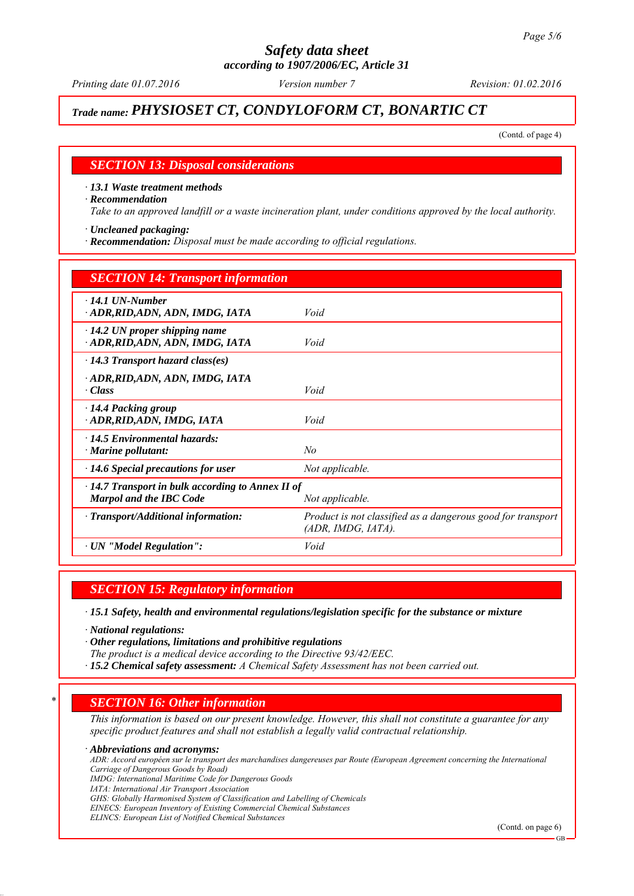*Printing date 01.07.2016 Revision: 01.02.2016 Version number 7*

## *Trade name: PHYSIOSET CT, CONDYLOFORM CT, BONARTIC CT*

(Contd. of page 4)

#### *SECTION 13: Disposal considerations*

*∙ 13.1 Waste treatment methods*

*∙ Recommendation*

*Take to an approved landfill or a waste incineration plant, under conditions approved by the local authority.*

*∙ Uncleaned packaging:*

*∙ Recommendation: Disposal must be made according to official regulations.*

| <b>SECTION 14: Transport information</b>                                                                     |                                                                                   |  |
|--------------------------------------------------------------------------------------------------------------|-----------------------------------------------------------------------------------|--|
| $\cdot$ 14.1 UN-Number<br>· ADR, RID, ADN, ADN, IMDG, IATA                                                   | Void                                                                              |  |
| $\cdot$ 14.2 UN proper shipping name<br>ADR, RID, ADN, ADN, IMDG, IATA                                       | Void                                                                              |  |
| $\cdot$ 14.3 Transport hazard class(es)                                                                      |                                                                                   |  |
| ADR, RID, ADN, ADN, IMDG, IATA<br>· Class                                                                    | Void                                                                              |  |
| · 14.4 Packing group<br>· ADR, RID, ADN, IMDG, IATA                                                          | Void                                                                              |  |
| $\cdot$ 14.5 Environmental hazards:<br>$\cdot$ Marine pollutant:                                             | No                                                                                |  |
| $\cdot$ 14.6 Special precautions for user                                                                    | Not applicable.                                                                   |  |
| $\cdot$ 14.7 Transport in bulk according to Annex II of<br><b>Marpol and the IBC Code</b><br>Not applicable. |                                                                                   |  |
| · Transport/Additional information:                                                                          | Product is not classified as a dangerous good for transport<br>(ADR, IMDG, IATA). |  |
| $\cdot$ UN "Model Regulation":                                                                               | Void                                                                              |  |

*SECTION 15: Regulatory information*

*∙ 15.1 Safety, health and environmental regulations/legislation specific for the substance or mixture*

*∙ National regulations:*

*∙ Other regulations, limitations and prohibitive regulations*

*The product is a medical device according to the Directive 93/42/EEC.*

*∙ 15.2 Chemical safety assessment: A Chemical Safety Assessment has not been carried out.*

## *\* SECTION 16: Other information*

*This information is based on our present knowledge. However, this shall not constitute a guarantee for any specific product features and shall not establish a legally valid contractual relationship.*

*∙ Abbreviations and acronyms:*

*ADR: Accord européen sur le transport des marchandises dangereuses par Route (European Agreement concerning the International Carriage of Dangerous Goods by Road)*

*IMDG: International Maritime Code for Dangerous Goods*

*IATA: International Air Transport Association*

*GHS: Globally Harmonised System of Classification and Labelling of Chemicals*

*EINECS: European Inventory of Existing Commercial Chemical Substances*

*ELINCS: European List of Notified Chemical Substances*

(Contd. on page 6)

GB